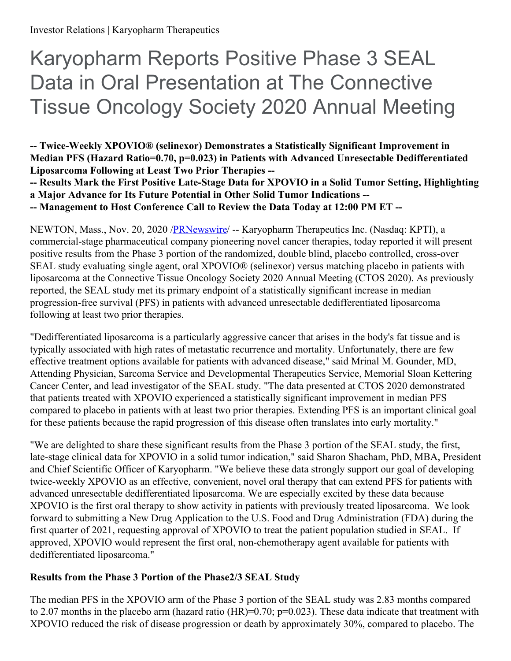# Karyopharm Reports Positive Phase 3 SEAL Data in Oral Presentation at The Connective Tissue Oncology Society 2020 Annual Meeting

**-- Twice-Weekly XPOVIO® (selinexor) Demonstrates a Statistically Significant Improvement in Median PFS (Hazard Ratio=0.70, p=0.023) in Patients with Advanced Unresectable Dedifferentiated Liposarcoma Following at Least Two Prior Therapies --**

**-- Results Mark the First Positive Late-Stage Data for XPOVIO in a Solid Tumor Setting, Highlighting a Major Advance for Its Future Potential in Other Solid Tumor Indications --**

**-- Management to Host Conference Call to Review the Data Today at 12:00 PM ET --**

NEWTON, Mass., Nov. 20, 2020 [/PRNewswire](http://www.prnewswire.com/)/ -- Karyopharm Therapeutics Inc. (Nasdaq: KPTI), a commercial-stage pharmaceutical company pioneering novel cancer therapies, today reported it will present positive results from the Phase 3 portion of the randomized, double blind, placebo controlled, cross-over SEAL study evaluating single agent, oral XPOVIO® (selinexor) versus matching placebo in patients with liposarcoma at the Connective Tissue Oncology Society 2020 Annual Meeting (CTOS 2020). As previously reported, the SEAL study met its primary endpoint of a statistically significant increase in median progression-free survival (PFS) in patients with advanced unresectable dedifferentiated liposarcoma following at least two prior therapies.

"Dedifferentiated liposarcoma is a particularly aggressive cancer that arises in the body's fat tissue and is typically associated with high rates of metastatic recurrence and mortality. Unfortunately, there are few effective treatment options available for patients with advanced disease," said Mrinal M. Gounder, MD, Attending Physician, Sarcoma Service and Developmental Therapeutics Service, Memorial Sloan Kettering Cancer Center, and lead investigator of the SEAL study. "The data presented at CTOS 2020 demonstrated that patients treated with XPOVIO experienced a statistically significant improvement in median PFS compared to placebo in patients with at least two prior therapies. Extending PFS is an important clinical goal for these patients because the rapid progression of this disease often translates into early mortality."

"We are delighted to share these significant results from the Phase 3 portion of the SEAL study, the first, late-stage clinical data for XPOVIO in a solid tumor indication," said Sharon Shacham, PhD, MBA, President and Chief Scientific Officer of Karyopharm. "We believe these data strongly support our goal of developing twice-weekly XPOVIO as an effective, convenient, novel oral therapy that can extend PFS for patients with advanced unresectable dedifferentiated liposarcoma. We are especially excited by these data because XPOVIO is the first oral therapy to show activity in patients with previously treated liposarcoma. We look forward to submitting a New Drug Application to the U.S. Food and Drug Administration (FDA) during the first quarter of 2021, requesting approval of XPOVIO to treat the patient population studied in SEAL. If approved, XPOVIO would represent the first oral, non-chemotherapy agent available for patients with dedifferentiated liposarcoma."

#### **Results from the Phase 3 Portion of the Phase2/3 SEAL Study**

The median PFS in the XPOVIO arm of the Phase 3 portion of the SEAL study was 2.83 months compared to 2.07 months in the placebo arm (hazard ratio (HR)=0.70;  $p=0.023$ ). These data indicate that treatment with XPOVIO reduced the risk of disease progression or death by approximately 30%, compared to placebo. The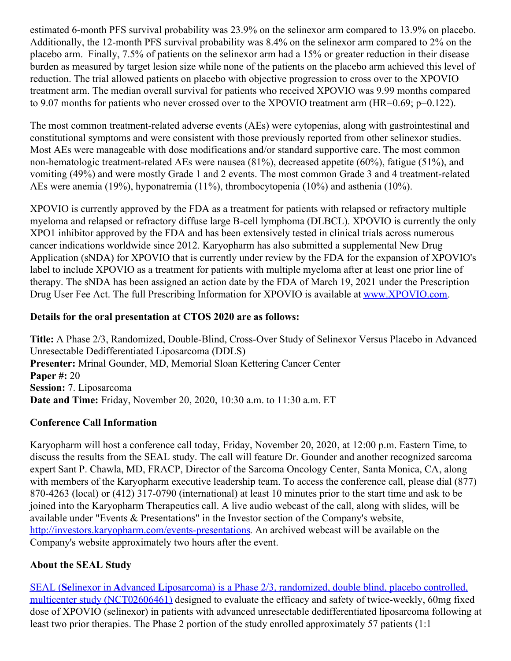estimated 6-month PFS survival probability was 23.9% on the selinexor arm compared to 13.9% on placebo. Additionally, the 12-month PFS survival probability was 8.4% on the selinexor arm compared to 2% on the placebo arm. Finally, 7.5% of patients on the selinexor arm had a 15% or greater reduction in their disease burden as measured by target lesion size while none of the patients on the placebo arm achieved this level of reduction. The trial allowed patients on placebo with objective progression to cross over to the XPOVIO treatment arm. The median overall survival for patients who received XPOVIO was 9.99 months compared to 9.07 months for patients who never crossed over to the XPOVIO treatment arm (HR=0.69; p=0.122).

The most common treatment-related adverse events (AEs) were cytopenias, along with gastrointestinal and constitutional symptoms and were consistent with those previously reported from other selinexor studies. Most AEs were manageable with dose modifications and/or standard supportive care. The most common non-hematologic treatment-related AEs were nausea (81%), decreased appetite (60%), fatigue (51%), and vomiting (49%) and were mostly Grade 1 and 2 events. The most common Grade 3 and 4 treatment-related AEs were anemia (19%), hyponatremia (11%), thrombocytopenia (10%) and asthenia (10%).

XPOVIO is currently approved by the FDA as a treatment for patients with relapsed or refractory multiple myeloma and relapsed or refractory diffuse large B-cell lymphoma (DLBCL). XPOVIO is currently the only XPO1 inhibitor approved by the FDA and has been extensively tested in clinical trials across numerous cancer indications worldwide since 2012. Karyopharm has also submitted a supplemental New Drug Application (sNDA) for XPOVIO that is currently under review by the FDA for the expansion of XPOVIO's label to include XPOVIO as a treatment for patients with multiple myeloma after at least one prior line of therapy. The sNDA has been assigned an action date by the FDA of March 19, 2021 under the Prescription Drug User Fee Act. The full Prescribing Information for XPOVIO is available at [www.XPOVIO.com](https://c212.net/c/link/?t=0&l=en&o=2988910-1&h=407336474&u=http%3A%2F%2Fwww.xpovio.com%2F&a=www.XPOVIO.com).

#### **Details for the oral presentation at CTOS 2020 are as follows:**

**Title:** A Phase 2/3, Randomized, Double-Blind, Cross-Over Study of Selinexor Versus Placebo in Advanced Unresectable Dedifferentiated Liposarcoma (DDLS) **Presenter:** Mrinal Gounder, MD, Memorial Sloan Kettering Cancer Center **Paper #:** 20 **Session:** 7. Liposarcoma **Date and Time:** Friday, November 20, 2020, 10:30 a.m. to 11:30 a.m. ET

#### **Conference Call Information**

Karyopharm will host a conference call today, Friday, November 20, 2020, at 12:00 p.m. Eastern Time, to discuss the results from the SEAL study. The call will feature Dr. Gounder and another recognized sarcoma expert Sant P. Chawla, MD, FRACP, Director of the Sarcoma Oncology Center, Santa Monica, CA, along with members of the Karyopharm executive leadership team. To access the conference call, please dial (877) 870-4263 (local) or (412) 317-0790 (international) at least 10 minutes prior to the start time and ask to be joined into the Karyopharm Therapeutics call. A live audio webcast of the call, along with slides, will be available under "Events & Presentations" in the Investor section of the Company's website, <http://investors.karyopharm.com/events-presentations>. An archived webcast will be available on the Company's website approximately two hours after the event.

## **About the SEAL Study**

SEAL (**Se**linexor in **A**dvanced **L**iposarcoma) is a Phase 2/3, randomized, double blind, placebo controlled, multicenter study [\(NCT02606461\)](https://c212.net/c/link/?t=0&l=en&o=2988910-1&h=3616924021&u=https%3A%2F%2Fwww.karyopharm.com%2Fpipeline%2Fprograms%2Fliposarcoma-seal%2F&a=SEAL%C2%A0(Selinexor+in+Advanced+Liposarcoma)%C2%A0is+a+Phase+2%2F3%2C+randomized%2C+double+blind%2C+placebo+controlled%2C+multicenter+study+(NCT02606461)) designed to evaluate the efficacy and safety of twice-weekly, 60mg fixed dose of XPOVIO (selinexor) in patients with advanced unresectable dedifferentiated liposarcoma following at least two prior therapies. The Phase 2 portion of the study enrolled approximately 57 patients (1:1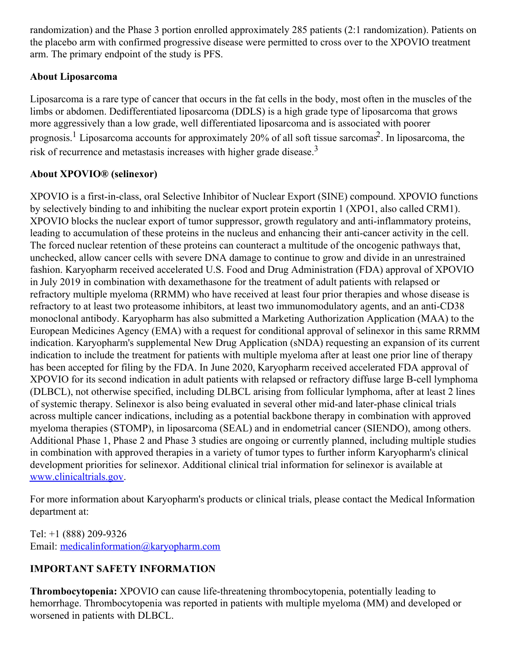randomization) and the Phase 3 portion enrolled approximately 285 patients (2:1 randomization). Patients on the placebo arm with confirmed progressive disease were permitted to cross over to the XPOVIO treatment arm. The primary endpoint of the study is PFS.

### **About Liposarcoma**

Liposarcoma is a rare type of cancer that occurs in the fat cells in the body, most often in the muscles of the limbs or abdomen. Dedifferentiated liposarcoma (DDLS) is a high grade type of liposarcoma that grows more aggressively than a low grade, well differentiated liposarcoma and is associated with poorer prognosis.<sup>1</sup> Liposarcoma accounts for approximately 20% of all soft tissue sarcomas<sup>2</sup>. In liposarcoma, the risk of recurrence and metastasis increases with higher grade disease.<sup>3</sup>

### **About XPOVIO® (selinexor)**

XPOVIO is a first-in-class, oral Selective Inhibitor of Nuclear Export (SINE) compound. XPOVIO functions by selectively binding to and inhibiting the nuclear export protein exportin 1 (XPO1, also called CRM1). XPOVIO blocks the nuclear export of tumor suppressor, growth regulatory and anti-inflammatory proteins, leading to accumulation of these proteins in the nucleus and enhancing their anti-cancer activity in the cell. The forced nuclear retention of these proteins can counteract a multitude of the oncogenic pathways that, unchecked, allow cancer cells with severe DNA damage to continue to grow and divide in an unrestrained fashion. Karyopharm received accelerated U.S. Food and Drug Administration (FDA) approval of XPOVIO in July 2019 in combination with dexamethasone for the treatment of adult patients with relapsed or refractory multiple myeloma (RRMM) who have received at least four prior therapies and whose disease is refractory to at least two proteasome inhibitors, at least two immunomodulatory agents, and an anti-CD38 monoclonal antibody. Karyopharm has also submitted a Marketing Authorization Application (MAA) to the European Medicines Agency (EMA) with a request for conditional approval of selinexor in this same RRMM indication. Karyopharm's supplemental New Drug Application (sNDA) requesting an expansion of its current indication to include the treatment for patients with multiple myeloma after at least one prior line of therapy has been accepted for filing by the FDA. In June 2020, Karyopharm received accelerated FDA approval of XPOVIO for its second indication in adult patients with relapsed or refractory diffuse large B-cell lymphoma (DLBCL), not otherwise specified, including DLBCL arising from follicular lymphoma, after at least 2 lines of systemic therapy. Selinexor is also being evaluated in several other mid-and later-phase clinical trials across multiple cancer indications, including as a potential backbone therapy in combination with approved myeloma therapies (STOMP), in liposarcoma (SEAL) and in endometrial cancer (SIENDO), among others. Additional Phase 1, Phase 2 and Phase 3 studies are ongoing or currently planned, including multiple studies in combination with approved therapies in a variety of tumor types to further inform Karyopharm's clinical development priorities for selinexor. Additional clinical trial information for selinexor is available at [www.clinicaltrials.gov](https://c212.net/c/link/?t=0&l=en&o=2988910-1&h=3069879268&u=http%3A%2F%2Fwww.clinicaltrials.gov%2F&a=www.clinicaltrials.gov).

For more information about Karyopharm's products or clinical trials, please contact the Medical Information department at:

Tel: +1 (888) 209-9326 Email: [medicalinformation@karyopharm.com](mailto:medicalinformation@karyopharm.com)

## **IMPORTANT SAFETY INFORMATION**

**Thrombocytopenia:** XPOVIO can cause life-threatening thrombocytopenia, potentially leading to hemorrhage. Thrombocytopenia was reported in patients with multiple myeloma (MM) and developed or worsened in patients with DLBCL.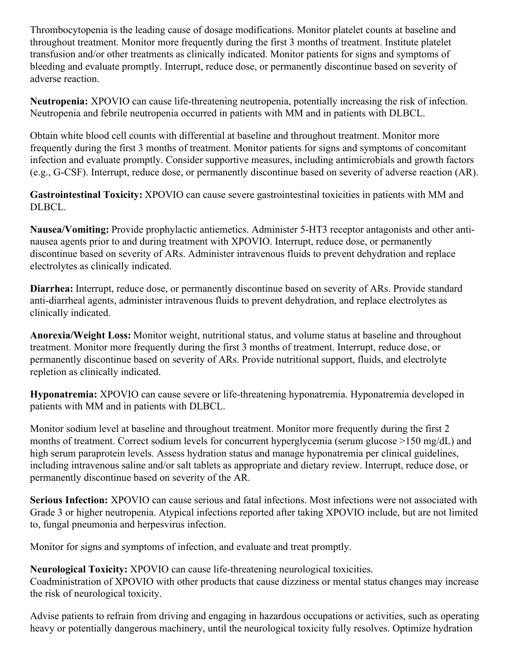Thrombocytopenia is the leading cause of dosage modifications. Monitor platelet counts at baseline and throughout treatment. Monitor more frequently during the first 3 months of treatment. Institute platelet transfusion and/or other treatments as clinically indicated. Monitor patients for signs and symptoms of bleeding and evaluate promptly. Interrupt, reduce dose, or permanently discontinue based on severity of adverse reaction.

**Neutropenia:** XPOVIO can cause life-threatening neutropenia, potentially increasing the risk of infection. Neutropenia and febrile neutropenia occurred in patients with MM and in patients with DLBCL.

Obtain white blood cell counts with differential at baseline and throughout treatment. Monitor more frequently during the first 3 months of treatment. Monitor patients for signs and symptoms of concomitant infection and evaluate promptly. Consider supportive measures, including antimicrobials and growth factors (e.g., G-CSF). Interrupt, reduce dose, or permanently discontinue based on severity of adverse reaction (AR).

**Gastrointestinal Toxicity:** XPOVIO can cause severe gastrointestinal toxicities in patients with MM and DLBCL.

**Nausea/Vomiting:** Provide prophylactic antiemetics. Administer 5-HT3 receptor antagonists and other antinausea agents prior to and during treatment with XPOVIO. Interrupt, reduce dose, or permanently discontinue based on severity of ARs. Administer intravenous fluids to prevent dehydration and replace electrolytes as clinically indicated.

**Diarrhea:** Interrupt, reduce dose, or permanently discontinue based on severity of ARs. Provide standard anti-diarrheal agents, administer intravenous fluids to prevent dehydration, and replace electrolytes as clinically indicated.

**Anorexia/Weight Loss:** Monitor weight, nutritional status, and volume status at baseline and throughout treatment. Monitor more frequently during the first 3 months of treatment. Interrupt, reduce dose, or permanently discontinue based on severity of ARs. Provide nutritional support, fluids, and electrolyte repletion as clinically indicated.

**Hyponatremia:** XPOVIO can cause severe or life-threatening hyponatremia. Hyponatremia developed in patients with MM and in patients with DLBCL.

Monitor sodium level at baseline and throughout treatment. Monitor more frequently during the first 2 months of treatment. Correct sodium levels for concurrent hyperglycemia (serum glucose >150 mg/dL) and high serum paraprotein levels. Assess hydration status and manage hyponatremia per clinical guidelines, including intravenous saline and/or salt tablets as appropriate and dietary review. Interrupt, reduce dose, or permanently discontinue based on severity of the AR.

**Serious Infection:** XPOVIO can cause serious and fatal infections. Most infections were not associated with Grade 3 or higher neutropenia. Atypical infections reported after taking XPOVIO include, but are not limited to, fungal pneumonia and herpesvirus infection.

Monitor for signs and symptoms of infection, and evaluate and treat promptly.

#### **Neurological Toxicity:** XPOVIO can cause life-threatening neurological toxicities.

Coadministration of XPOVIO with other products that cause dizziness or mental status changes may increase the risk of neurological toxicity.

Advise patients to refrain from driving and engaging in hazardous occupations or activities, such as operating heavy or potentially dangerous machinery, until the neurological toxicity fully resolves. Optimize hydration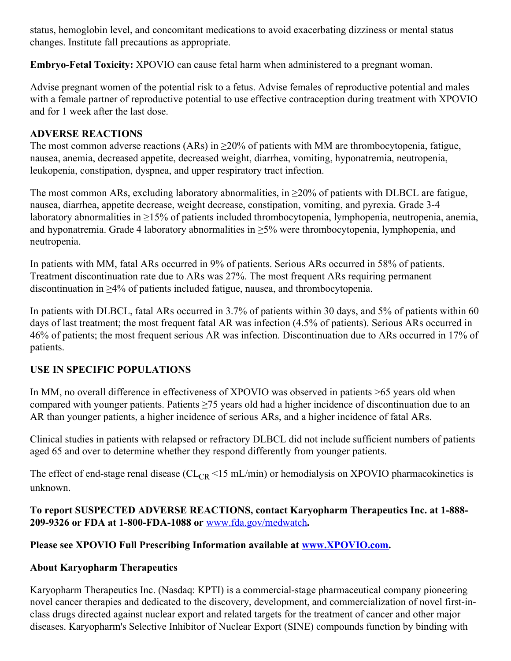status, hemoglobin level, and concomitant medications to avoid exacerbating dizziness or mental status changes. Institute fall precautions as appropriate.

**Embryo-Fetal Toxicity:** XPOVIO can cause fetal harm when administered to a pregnant woman.

Advise pregnant women of the potential risk to a fetus. Advise females of reproductive potential and males with a female partner of reproductive potential to use effective contraception during treatment with XPOVIO and for 1 week after the last dose.

## **ADVERSE REACTIONS**

The most common adverse reactions (ARs) in  $\geq$ 20% of patients with MM are thrombocytopenia, fatigue, nausea, anemia, decreased appetite, decreased weight, diarrhea, vomiting, hyponatremia, neutropenia, leukopenia, constipation, dyspnea, and upper respiratory tract infection.

The most common ARs, excluding laboratory abnormalities, in  $\geq$ 20% of patients with DLBCL are fatigue, nausea, diarrhea, appetite decrease, weight decrease, constipation, vomiting, and pyrexia. Grade 3-4 laboratory abnormalities in ≥15% of patients included thrombocytopenia, lymphopenia, neutropenia, anemia, and hyponatremia. Grade 4 laboratory abnormalities in  $\geq$ 5% were thrombocytopenia, lymphopenia, and neutropenia.

In patients with MM, fatal ARs occurred in 9% of patients. Serious ARs occurred in 58% of patients. Treatment discontinuation rate due to ARs was 27%. The most frequent ARs requiring permanent discontinuation in ≥4% of patients included fatigue, nausea, and thrombocytopenia.

In patients with DLBCL, fatal ARs occurred in 3.7% of patients within 30 days, and 5% of patients within 60 days of last treatment; the most frequent fatal AR was infection (4.5% of patients). Serious ARs occurred in 46% of patients; the most frequent serious AR was infection. Discontinuation due to ARs occurred in 17% of patients.

## **USE IN SPECIFIC POPULATIONS**

In MM, no overall difference in effectiveness of XPOVIO was observed in patients >65 years old when compared with younger patients. Patients ≥75 years old had a higher incidence of discontinuation due to an AR than younger patients, a higher incidence of serious ARs, and a higher incidence of fatal ARs.

Clinical studies in patients with relapsed or refractory DLBCL did not include sufficient numbers of patients aged 65 and over to determine whether they respond differently from younger patients.

The effect of end-stage renal disease ( $CL_{CR}$  <15 mL/min) or hemodialysis on XPOVIO pharmacokinetics is unknown.

**To report SUSPECTED ADVERSE REACTIONS, contact Karyopharm Therapeutics Inc. at 1-888- 209-9326 or FDA at 1-800-FDA-1088 or** [www.fda.gov/medwatch](https://c212.net/c/link/?t=0&l=en&o=2988910-1&h=3559885758&u=https%3A%2F%2Fc212.net%2Fc%2Flink%2F%3Ft%3D0%26l%3Den%26o%3D2875172-1%26h%3D1477507959%26u%3Dhttp%253A%252F%252Fwww.fda.gov%252Fmedwatch%26a%3Dwww.fda.gov%252Fmedwatch&a=www.fda.gov%2Fmedwatch)**.**

## **Please see XPOVIO Full Prescribing Information available at [www.XPOVIO.com](https://c212.net/c/link/?t=0&l=en&o=2988910-1&h=505339004&u=https%3A%2F%2Fc212.net%2Fc%2Flink%2F%3Ft%3D0%26l%3Den%26o%3D2875172-1%26h%3D3088030465%26u%3Dhttp%253A%252F%252Fwww.xpovio.com%252F%26a%3Dwww.XPOVIO.com&a=www.XPOVIO.com).**

## **About Karyopharm Therapeutics**

Karyopharm Therapeutics Inc. (Nasdaq: KPTI) is a commercial-stage pharmaceutical company pioneering novel cancer therapies and dedicated to the discovery, development, and commercialization of novel first-inclass drugs directed against nuclear export and related targets for the treatment of cancer and other major diseases. Karyopharm's Selective Inhibitor of Nuclear Export (SINE) compounds function by binding with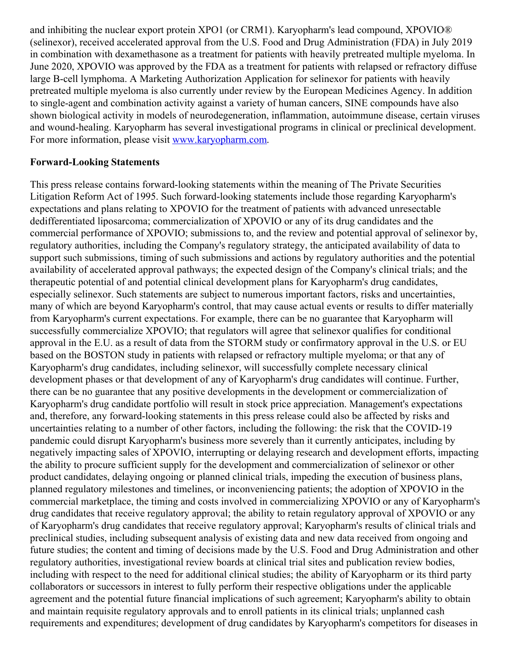and inhibiting the nuclear export protein XPO1 (or CRM1). Karyopharm's lead compound, XPOVIO® (selinexor), received accelerated approval from the U.S. Food and Drug Administration (FDA) in July 2019 in combination with dexamethasone as a treatment for patients with heavily pretreated multiple myeloma. In June 2020, XPOVIO was approved by the FDA as a treatment for patients with relapsed or refractory diffuse large B-cell lymphoma. A Marketing Authorization Application for selinexor for patients with heavily pretreated multiple myeloma is also currently under review by the European Medicines Agency. In addition to single-agent and combination activity against a variety of human cancers, SINE compounds have also shown biological activity in models of neurodegeneration, inflammation, autoimmune disease, certain viruses and wound-healing. Karyopharm has several investigational programs in clinical or preclinical development. For more information, please visit [www.karyopharm.com](https://c212.net/c/link/?t=0&l=en&o=2988910-1&h=2452485078&u=http%3A%2F%2Fwww.karyopharm.com%2F&a=www.karyopharm.com).

#### **Forward-Looking Statements**

This press release contains forward-looking statements within the meaning of The Private Securities Litigation Reform Act of 1995. Such forward-looking statements include those regarding Karyopharm's expectations and plans relating to XPOVIO for the treatment of patients with advanced unresectable dedifferentiated liposarcoma; commercialization of XPOVIO or any of its drug candidates and the commercial performance of XPOVIO; submissions to, and the review and potential approval of selinexor by, regulatory authorities, including the Company's regulatory strategy, the anticipated availability of data to support such submissions, timing of such submissions and actions by regulatory authorities and the potential availability of accelerated approval pathways; the expected design of the Company's clinical trials; and the therapeutic potential of and potential clinical development plans for Karyopharm's drug candidates, especially selinexor. Such statements are subject to numerous important factors, risks and uncertainties, many of which are beyond Karyopharm's control, that may cause actual events or results to differ materially from Karyopharm's current expectations. For example, there can be no guarantee that Karyopharm will successfully commercialize XPOVIO; that regulators will agree that selinexor qualifies for conditional approval in the E.U. as a result of data from the STORM study or confirmatory approval in the U.S. or EU based on the BOSTON study in patients with relapsed or refractory multiple myeloma; or that any of Karyopharm's drug candidates, including selinexor, will successfully complete necessary clinical development phases or that development of any of Karyopharm's drug candidates will continue. Further, there can be no guarantee that any positive developments in the development or commercialization of Karyopharm's drug candidate portfolio will result in stock price appreciation. Management's expectations and, therefore, any forward-looking statements in this press release could also be affected by risks and uncertainties relating to a number of other factors, including the following: the risk that the COVID-19 pandemic could disrupt Karyopharm's business more severely than it currently anticipates, including by negatively impacting sales of XPOVIO, interrupting or delaying research and development efforts, impacting the ability to procure sufficient supply for the development and commercialization of selinexor or other product candidates, delaying ongoing or planned clinical trials, impeding the execution of business plans, planned regulatory milestones and timelines, or inconveniencing patients; the adoption of XPOVIO in the commercial marketplace, the timing and costs involved in commercializing XPOVIO or any of Karyopharm's drug candidates that receive regulatory approval; the ability to retain regulatory approval of XPOVIO or any of Karyopharm's drug candidates that receive regulatory approval; Karyopharm's results of clinical trials and preclinical studies, including subsequent analysis of existing data and new data received from ongoing and future studies; the content and timing of decisions made by the U.S. Food and Drug Administration and other regulatory authorities, investigational review boards at clinical trial sites and publication review bodies, including with respect to the need for additional clinical studies; the ability of Karyopharm or its third party collaborators or successors in interest to fully perform their respective obligations under the applicable agreement and the potential future financial implications of such agreement; Karyopharm's ability to obtain and maintain requisite regulatory approvals and to enroll patients in its clinical trials; unplanned cash requirements and expenditures; development of drug candidates by Karyopharm's competitors for diseases in